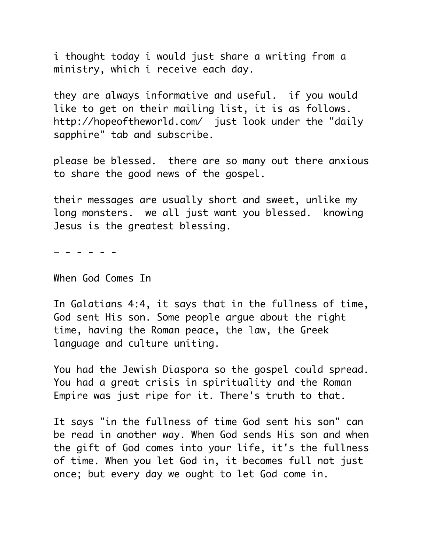i thought today i would just share a writing from a ministry, which i receive each day.

they are always informative and useful. if you would like to get on their mailing list, it is as follows. http://hopeoftheworld.com/ just look under the "daily sapphire" tab and subscribe.

please be blessed. there are so many out there anxious to share the good news of the gospel.

their messages are usually short and sweet, unlike my long monsters. we all just want you blessed. knowing Jesus is the greatest blessing.

— - - - - -

When God Comes In

In Galatians 4:4, it says that in the fullness of time, God sent His son. Some people argue about the right time, having the Roman peace, the law, the Greek language and culture uniting.

You had the Jewish Diaspora so the gospel could spread. You had a great crisis in spirituality and the Roman Empire was just ripe for it. There's truth to that.

It says "in the fullness of time God sent his son" can be read in another way. When God sends His son and when the gift of God comes into your life, it's the fullness of time. When you let God in, it becomes full not just once; but every day we ought to let God come in.